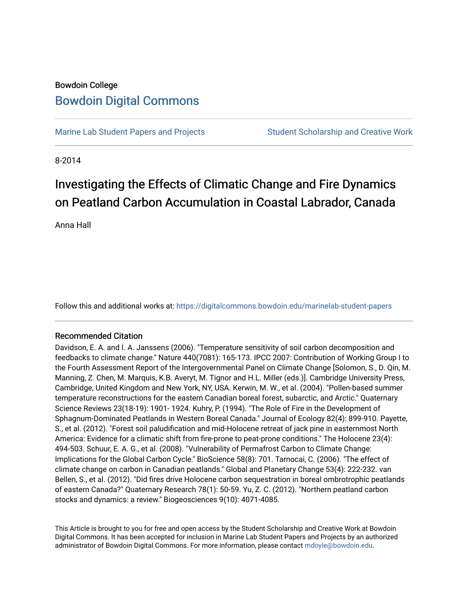# Bowdoin College [Bowdoin Digital Commons](https://digitalcommons.bowdoin.edu/)

[Marine Lab Student Papers and Projects](https://digitalcommons.bowdoin.edu/marinelab-student-papers) Student Scholarship and Creative Work

8-2014

# Investigating the Effects of Climatic Change and Fire Dynamics on Peatland Carbon Accumulation in Coastal Labrador, Canada

Anna Hall

Follow this and additional works at: [https://digitalcommons.bowdoin.edu/marinelab-student-papers](https://digitalcommons.bowdoin.edu/marinelab-student-papers?utm_source=digitalcommons.bowdoin.edu%2Fmarinelab-student-papers%2F21&utm_medium=PDF&utm_campaign=PDFCoverPages) 

#### Recommended Citation

Davidson, E. A. and I. A. Janssens (2006). "Temperature sensitivity of soil carbon decomposition and feedbacks to climate change." Nature 440(7081): 165-173. IPCC 2007: Contribution of Working Group I to the Fourth Assessment Report of the Intergovernmental Panel on Climate Change [Solomon, S., D. Qin, M. Manning, Z. Chen, M. Marquis, K.B. Averyt, M. Tignor and H.L. Miller (eds.)]. Cambridge University Press, Cambridge, United Kingdom and New York, NY, USA. Kerwin, M. W., et al. (2004). "Pollen-based summer temperature reconstructions for the eastern Canadian boreal forest, subarctic, and Arctic." Quaternary Science Reviews 23(18-19): 1901- 1924. Kuhry, P. (1994). "The Role of Fire in the Development of Sphagnum-Dominated Peatlands in Western Boreal Canada." Journal of Ecology 82(4): 899-910. Payette, S., et al. (2012). "Forest soil paludification and mid-Holocene retreat of jack pine in easternmost North America: Evidence for a climatic shift from fire-prone to peat-prone conditions." The Holocene 23(4): 494-503. Schuur, E. A. G., et al. (2008). "Vulnerability of Permafrost Carbon to Climate Change: Implications for the Global Carbon Cycle." BioScience 58(8): 701. Tarnocai, C. (2006). "The effect of climate change on carbon in Canadian peatlands." Global and Planetary Change 53(4): 222-232. van Bellen, S., et al. (2012). "Did fires drive Holocene carbon sequestration in boreal ombrotrophic peatlands of eastern Canada?" Quaternary Research 78(1): 50-59. Yu, Z. C. (2012). "Northern peatland carbon stocks and dynamics: a review." Biogeosciences 9(10): 4071-4085.

This Article is brought to you for free and open access by the Student Scholarship and Creative Work at Bowdoin Digital Commons. It has been accepted for inclusion in Marine Lab Student Papers and Projects by an authorized administrator of Bowdoin Digital Commons. For more information, please contact [mdoyle@bowdoin.edu.](mailto:mdoyle@bowdoin.edu)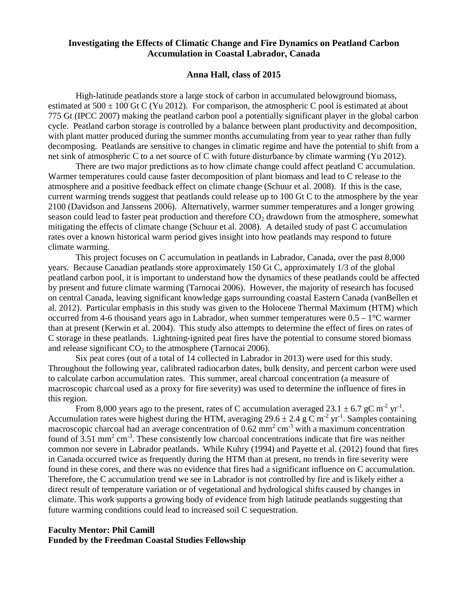# **Investigating the Effects of Climatic Change and Fire Dynamics on Peatland Carbon Accumulation in Coastal Labrador, Canada**

### **Anna Hall, class of 2015**

High-latitude peatlands store a large stock of carbon in accumulated belowground biomass, estimated at 500  $\pm$  100 Gt C (Yu 2012). For comparison, the atmospheric C pool is estimated at about 775 Gt (IPCC 2007) making the peatland carbon pool a potentially significant player in the global carbon cycle. Peatland carbon storage is controlled by a balance between plant productivity and decomposition, with plant matter produced during the summer months accumulating from year to year rather than fully decomposing. Peatlands are sensitive to changes in climatic regime and have the potential to shift from a net sink of atmospheric C to a net source of C with future disturbance by climate warming (Yu 2012).

There are two major predictions as to how climate change could affect peatland C accumulation. Warmer temperatures could cause faster decomposition of plant biomass and lead to C release to the atmosphere and a positive feedback effect on climate change (Schuur et al. 2008). If this is the case, current warming trends suggest that peatlands could release up to 100 Gt C to the atmosphere by the year 2100 (Davidson and Janssens 2006). Alternatively, warmer summer temperatures and a longer growing season could lead to faster peat production and therefore  $CO<sub>2</sub>$  drawdown from the atmosphere, somewhat mitigating the effects of climate change (Schuur et al. 2008). A detailed study of past C accumulation rates over a known historical warm period gives insight into how peatlands may respond to future climate warming.

This project focuses on C accumulation in peatlands in Labrador, Canada, over the past 8,000 years. Because Canadian peatlands store approximately 150 Gt C, approximately 1/3 of the global peatland carbon pool, it is important to understand how the dynamics of these peatlands could be affected by present and future climate warming (Tarnocai 2006). However, the majority of research has focused on central Canada, leaving significant knowledge gaps surrounding coastal Eastern Canada (vanBellen et al. 2012). Particular emphasis in this study was given to the Holocene Thermal Maximum (HTM) which occurred from 4-6 thousand years ago in Labrador, when summer temperatures were  $0.5 - 1$  °C warmer than at present (Kerwin et al. 2004). This study also attempts to determine the effect of fires on rates of C storage in these peatlands. Lightning-ignited peat fires have the potential to consume stored biomass and release significant  $CO<sub>2</sub>$  to the atmosphere (Tarnocai 2006).

Six peat cores (out of a total of 14 collected in Labrador in 2013) were used for this study. Throughout the following year, calibrated radiocarbon dates, bulk density, and percent carbon were used to calculate carbon accumulation rates. This summer, areal charcoal concentration (a measure of macroscopic charcoal used as a proxy for fire severity) was used to determine the influence of fires in this region.

From 8,000 years ago to the present, rates of C accumulation averaged  $23.1 \pm 6.7$  gC m<sup>-2</sup> yr<sup>-1</sup>. Accumulation rates were highest during the HTM, averaging 29.6  $\pm$  2.4 g C m<sup>-2</sup> yr<sup>-1</sup>. Samples containing macroscopic charcoal had an average concentration of  $0.62 \text{ mm}^2 \text{ cm}^3$  with a maximum concentration found of  $3.51$  mm<sup>2</sup> cm<sup>-3</sup>. These consistently low charcoal concentrations indicate that fire was neither common nor severe in Labrador peatlands. While Kuhry (1994) and Payette et al. (2012) found that fires in Canada occurred twice as frequently during the HTM than at present, no trends in fire severity were found in these cores, and there was no evidence that fires had a significant influence on C accumulation. Therefore, the C accumulation trend we see in Labrador is not controlled by fire and is likely either a direct result of temperature variation or of vegetational and hydrological shifts caused by changes in climate. This work supports a growing body of evidence from high latitude peatlands suggesting that future warming conditions could lead to increased soil C sequestration.

## **Faculty Mentor: Phil Camill Funded by the Freedman Coastal Studies Fellowship**